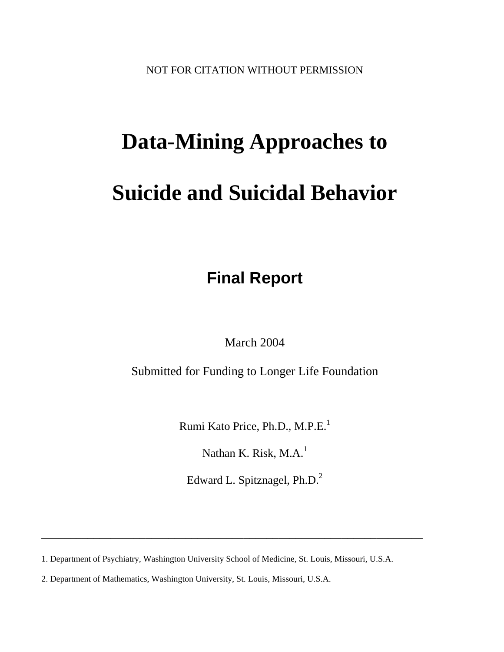NOT FOR CITATION WITHOUT PERMISSION

# **Data-Mining Approaches to Suicide and Suicidal Behavior**

**Final Report**

March 2004

Submitted for Funding to Longer Life Foundation

Rumi Kato Price, Ph.D., M.P.E.<sup>1</sup>

Nathan K. Risk,  $M.A.<sup>1</sup>$ 

Edward L. Spitznagel, Ph.D.<sup>2</sup>

1. Department of Psychiatry, Washington University School of Medicine, St. Louis, Missouri, U.S.A.

\_\_\_\_\_\_\_\_\_\_\_\_\_\_\_\_\_\_\_\_\_\_\_\_\_\_\_\_\_\_\_\_\_\_\_\_\_\_\_\_\_\_\_\_\_\_\_\_\_\_\_\_\_\_\_\_\_\_\_\_\_\_\_\_\_\_

2. Department of Mathematics, Washington University, St. Louis, Missouri, U.S.A.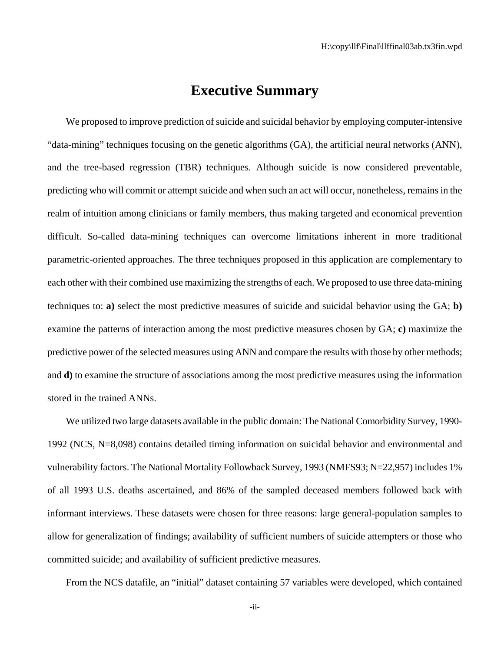### **Executive Summary**

We proposed to improve prediction of suicide and suicidal behavior by employing computer-intensive "data-mining" techniques focusing on the genetic algorithms (GA), the artificial neural networks (ANN), and the tree-based regression (TBR) techniques. Although suicide is now considered preventable, predicting who will commit or attempt suicide and when such an act will occur, nonetheless, remains in the realm of intuition among clinicians or family members, thus making targeted and economical prevention difficult. So-called data-mining techniques can overcome limitations inherent in more traditional parametric-oriented approaches. The three techniques proposed in this application are complementary to each other with their combined use maximizing the strengths of each. We proposed to use three data-mining techniques to: **a)** select the most predictive measures of suicide and suicidal behavior using the GA; **b)** examine the patterns of interaction among the most predictive measures chosen by GA; **c)** maximize the predictive power of the selected measures using ANN and compare the results with those by other methods; and **d)** to examine the structure of associations among the most predictive measures using the information stored in the trained ANNs.

We utilized two large datasets available in the public domain: The National Comorbidity Survey, 1990- 1992 (NCS, N=8,098) contains detailed timing information on suicidal behavior and environmental and vulnerability factors. The National Mortality Followback Survey, 1993 (NMFS93; N=22,957) includes 1% of all 1993 U.S. deaths ascertained, and 86% of the sampled deceased members followed back with informant interviews. These datasets were chosen for three reasons: large general-population samples to allow for generalization of findings; availability of sufficient numbers of suicide attempters or those who committed suicide; and availability of sufficient predictive measures.

From the NCS datafile, an "initial" dataset containing 57 variables were developed, which contained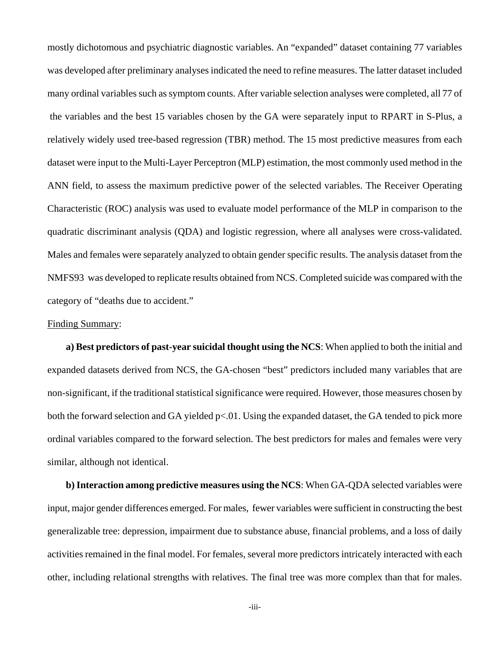mostly dichotomous and psychiatric diagnostic variables. An "expanded" dataset containing 77 variables was developed after preliminary analyses indicated the need to refine measures. The latter dataset included many ordinal variables such as symptom counts. After variable selection analyses were completed, all 77 of the variables and the best 15 variables chosen by the GA were separately input to RPART in S-Plus, a relatively widely used tree-based regression (TBR) method. The 15 most predictive measures from each dataset were input to the Multi-Layer Perceptron (MLP) estimation, the most commonly used method in the ANN field, to assess the maximum predictive power of the selected variables. The Receiver Operating Characteristic (ROC) analysis was used to evaluate model performance of the MLP in comparison to the quadratic discriminant analysis (QDA) and logistic regression, where all analyses were cross-validated. Males and females were separately analyzed to obtain gender specific results. The analysis dataset from the NMFS93 was developed to replicate results obtained from NCS. Completed suicide was compared with the category of "deaths due to accident."

#### Finding Summary:

**a) Best predictors of past-year suicidal thought using the NCS**: When applied to both the initial and expanded datasets derived from NCS, the GA-chosen "best" predictors included many variables that are non-significant, if the traditional statistical significance were required. However, those measures chosen by both the forward selection and GA yielded  $p<0.01$ . Using the expanded dataset, the GA tended to pick more ordinal variables compared to the forward selection. The best predictors for males and females were very similar, although not identical.

**b) Interaction among predictive measures using the NCS:** When GA-QDA selected variables were input, major gender differences emerged. For males, fewer variables were sufficient in constructing the best generalizable tree: depression, impairment due to substance abuse, financial problems, and a loss of daily activities remained in the final model. For females, several more predictors intricately interacted with each other, including relational strengths with relatives. The final tree was more complex than that for males.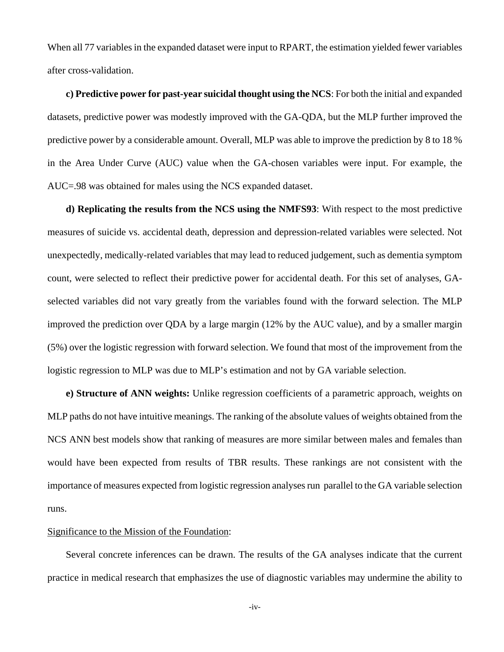When all 77 variables in the expanded dataset were input to RPART, the estimation yielded fewer variables after cross-validation.

**c) Predictive power for past-year suicidal thought using the NCS**: For both the initial and expanded datasets, predictive power was modestly improved with the GA-QDA, but the MLP further improved the predictive power by a considerable amount. Overall, MLP was able to improve the prediction by 8 to 18 % in the Area Under Curve (AUC) value when the GA-chosen variables were input. For example, the AUC=.98 was obtained for males using the NCS expanded dataset.

**d) Replicating the results from the NCS using the NMFS93**: With respect to the most predictive measures of suicide vs. accidental death, depression and depression-related variables were selected. Not unexpectedly, medically-related variables that may lead to reduced judgement, such as dementia symptom count, were selected to reflect their predictive power for accidental death. For this set of analyses, GAselected variables did not vary greatly from the variables found with the forward selection. The MLP improved the prediction over QDA by a large margin (12% by the AUC value), and by a smaller margin (5%) over the logistic regression with forward selection. We found that most of the improvement from the logistic regression to MLP was due to MLP's estimation and not by GA variable selection.

**e) Structure of ANN weights:** Unlike regression coefficients of a parametric approach, weights on MLP paths do not have intuitive meanings. The ranking of the absolute values of weights obtained from the NCS ANN best models show that ranking of measures are more similar between males and females than would have been expected from results of TBR results. These rankings are not consistent with the importance of measures expected from logistic regression analyses run parallel to the GA variable selection runs.

#### Significance to the Mission of the Foundation:

Several concrete inferences can be drawn. The results of the GA analyses indicate that the current practice in medical research that emphasizes the use of diagnostic variables may undermine the ability to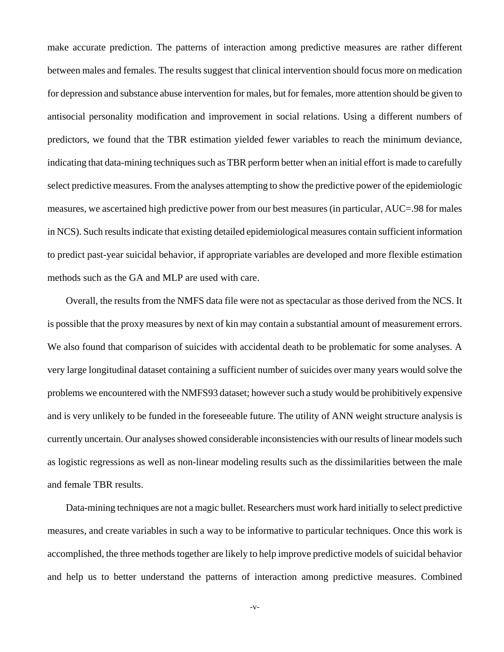make accurate prediction. The patterns of interaction among predictive measures are rather different between males and females. The results suggest that clinical intervention should focus more on medication for depression and substance abuse intervention for males, but for females, more attention should be given to antisocial personality modification and improvement in social relations. Using a different numbers of predictors, we found that the TBR estimation yielded fewer variables to reach the minimum deviance, indicating that data-mining techniques such as TBR perform better when an initial effort is made to carefully select predictive measures. From the analyses attempting to show the predictive power of the epidemiologic measures, we ascertained high predictive power from our best measures (in particular, AUC=.98 for males in NCS). Such results indicate that existing detailed epidemiological measures contain sufficient information to predict past-year suicidal behavior, if appropriate variables are developed and more flexible estimation methods such as the GA and MLP are used with care.

Overall, the results from the NMFS data file were not as spectacular as those derived from the NCS. It is possible that the proxy measures by next of kin may contain a substantial amount of measurement errors. We also found that comparison of suicides with accidental death to be problematic for some analyses. A very large longitudinal dataset containing a sufficient number of suicides over many years would solve the problems we encountered with the NMFS93 dataset; however such a study would be prohibitively expensive and is very unlikely to be funded in the foreseeable future. The utility of ANN weight structure analysis is currently uncertain. Our analyses showed considerable inconsistencies with our results of linear models such as logistic regressions as well as non-linear modeling results such as the dissimilarities between the male and female TBR results.

Data-mining techniques are not a magic bullet. Researchers must work hard initially to select predictive measures, and create variables in such a way to be informative to particular techniques. Once this work is accomplished, the three methods together are likely to help improve predictive models of suicidal behavior and help us to better understand the patterns of interaction among predictive measures. Combined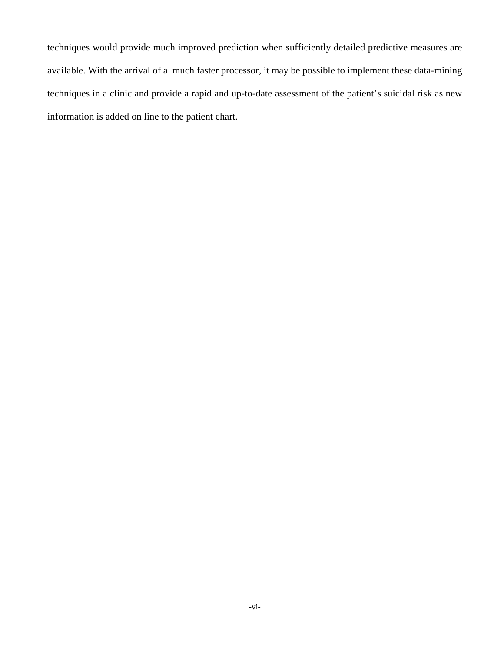techniques would provide much improved prediction when sufficiently detailed predictive measures are available. With the arrival of a much faster processor, it may be possible to implement these data-mining techniques in a clinic and provide a rapid and up-to-date assessment of the patient's suicidal risk as new information is added on line to the patient chart.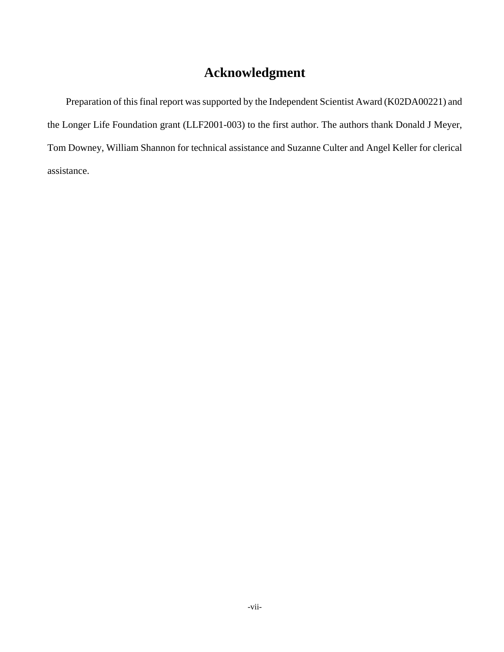## **Acknowledgment**

Preparation of this final report was supported by the Independent Scientist Award (K02DA00221) and the Longer Life Foundation grant (LLF2001-003) to the first author. The authors thank Donald J Meyer, Tom Downey, William Shannon for technical assistance and Suzanne Culter and Angel Keller for clerical assistance.